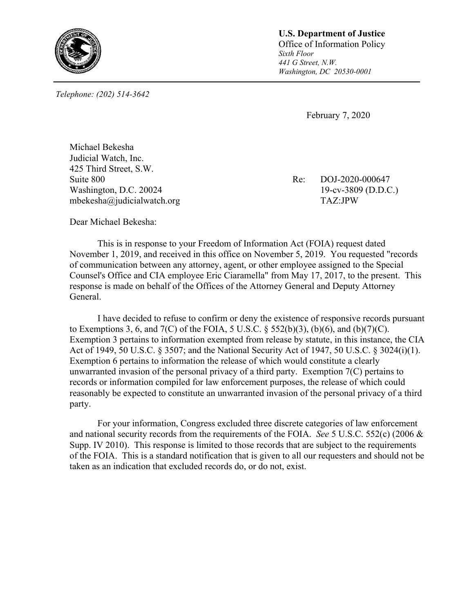

*Telephone: (202) 514-3642* 

**U.S. Department of Justice Office of Information Policy** *Sixth Floor 441 G Street, N.W. Washington, DC 20530-0001*

February 7, 2020

Michael Bekesha Judicial Watch, Inc. 425 Third Street, S.W. Suite 800 Re: DOJ-2020-000647 Washington, D.C. 20024 19-cv-3809 (D.D.C.) mbekesha@judicialwatch.org TAZ:JPW

Dear Michael Bekesha:

This is in response to your Freedom of Information Act (FOIA) request dated November 1, 2019, and received in this office on November 5, 2019. You requested "records of communication between any attorney, agent, or other employee assigned to the Special Counsel's Office and CIA employee Eric Ciaramella" from May 17, 2017, to the present. This response is made on behalf of the Offices of the Attorney General and Deputy Attorney General.

 I have decided to refuse to confirm or deny the existence of responsive records pursuant to Exemptions 3, 6, and  $7(C)$  of the FOIA, 5 U.S.C. § 552(b)(3), (b)(6), and (b)(7)(C). Exemption 3 pertains to information exempted from release by statute, in this instance, the CIA Act of 1949, 50 U.S.C. § 3507; and the National Security Act of 1947, 50 U.S.C. § 3024(i)(1). Exemption 6 pertains to information the release of which would constitute a clearly unwarranted invasion of the personal privacy of a third party. Exemption 7(C) pertains to records or information compiled for law enforcement purposes, the release of which could reasonably be expected to constitute an unwarranted invasion of the personal privacy of a third party.

For your information, Congress excluded three discrete categories of law enforcement and national security records from the requirements of the FOIA. *See* 5 U.S.C. 552(c) (2006 & Supp. IV 2010). This response is limited to those records that are subject to the requirements of the FOIA. This is a standard notification that is given to all our requesters and should not be taken as an indication that excluded records do, or do not, exist.